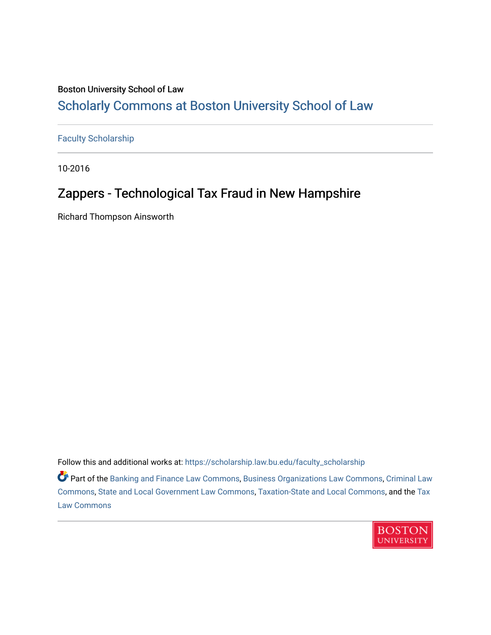### Boston University School of Law [Scholarly Commons at Boston University School of Law](https://scholarship.law.bu.edu/)

[Faculty Scholarship](https://scholarship.law.bu.edu/faculty_scholarship)

10-2016

## Zappers - Technological Tax Fraud in New Hampshire

Richard Thompson Ainsworth

Follow this and additional works at: [https://scholarship.law.bu.edu/faculty\\_scholarship](https://scholarship.law.bu.edu/faculty_scholarship?utm_source=scholarship.law.bu.edu%2Ffaculty_scholarship%2F1422&utm_medium=PDF&utm_campaign=PDFCoverPages)

**C** Part of the [Banking and Finance Law Commons,](http://network.bepress.com/hgg/discipline/833?utm_source=scholarship.law.bu.edu%2Ffaculty_scholarship%2F1422&utm_medium=PDF&utm_campaign=PDFCoverPages) [Business Organizations Law Commons](http://network.bepress.com/hgg/discipline/900?utm_source=scholarship.law.bu.edu%2Ffaculty_scholarship%2F1422&utm_medium=PDF&utm_campaign=PDFCoverPages), [Criminal Law](http://network.bepress.com/hgg/discipline/912?utm_source=scholarship.law.bu.edu%2Ffaculty_scholarship%2F1422&utm_medium=PDF&utm_campaign=PDFCoverPages) [Commons](http://network.bepress.com/hgg/discipline/912?utm_source=scholarship.law.bu.edu%2Ffaculty_scholarship%2F1422&utm_medium=PDF&utm_campaign=PDFCoverPages), [State and Local Government Law Commons,](http://network.bepress.com/hgg/discipline/879?utm_source=scholarship.law.bu.edu%2Ffaculty_scholarship%2F1422&utm_medium=PDF&utm_campaign=PDFCoverPages) [Taxation-State and Local Commons,](http://network.bepress.com/hgg/discipline/882?utm_source=scholarship.law.bu.edu%2Ffaculty_scholarship%2F1422&utm_medium=PDF&utm_campaign=PDFCoverPages) and the [Tax](http://network.bepress.com/hgg/discipline/898?utm_source=scholarship.law.bu.edu%2Ffaculty_scholarship%2F1422&utm_medium=PDF&utm_campaign=PDFCoverPages) [Law Commons](http://network.bepress.com/hgg/discipline/898?utm_source=scholarship.law.bu.edu%2Ffaculty_scholarship%2F1422&utm_medium=PDF&utm_campaign=PDFCoverPages) 

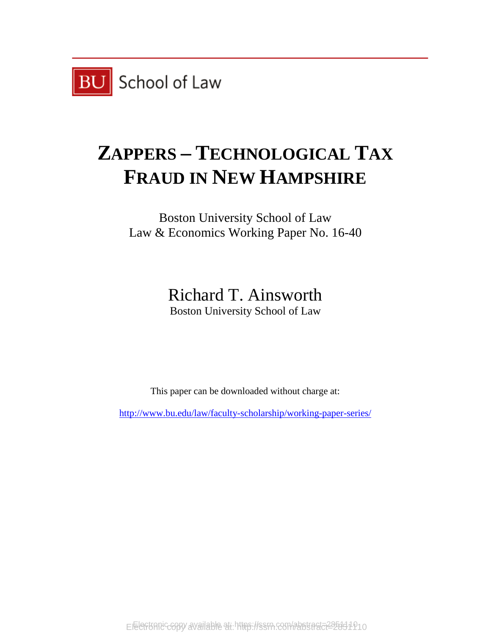

# **ZAPPERS – TECHNOLOGICAL TAX FRAUD IN NEW HAMPSHIRE**

Boston University School of Law Law & Economics Working Paper No. 16-40

> Richard T. Ainsworth Boston University School of Law

This paper can be downloaded without charge at:

<http://www.bu.edu/law/faculty-scholarship/working-paper-series/>

Electronic copy available at https://ssrn.com/abstract=285311010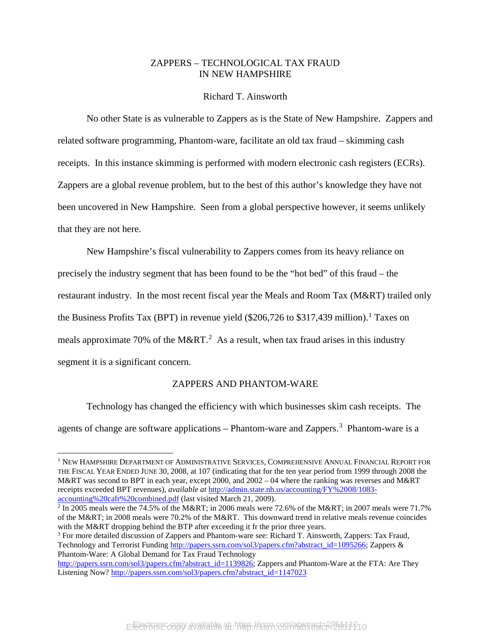#### ZAPPERS – TECHNOLOGICAL TAX FRAUD IN NEW HAMPSHIRE

#### Richard T. Ainsworth

No other State is as vulnerable to Zappers as is the State of New Hampshire. Zappers and related software programming, Phantom-ware, facilitate an old tax fraud – skimming cash receipts. In this instance skimming is performed with modern electronic cash registers (ECRs). Zappers are a global revenue problem, but to the best of this author's knowledge they have not been uncovered in New Hampshire. Seen from a global perspective however, it seems unlikely that they are not here.

New Hampshire's fiscal vulnerability to Zappers comes from its heavy reliance on precisely the industry segment that has been found to be the "hot bed" of this fraud – the restaurant industry. In the most recent fiscal year the Meals and Room Tax (M&RT) trailed only the Business Profits Tax (BPT) in revenue yield (\$206,726 to \$317,439 million). [1](#page-2-0) Taxes on meals approximate 70% of the M&RT.<sup>[2](#page-2-1)</sup> As a result, when tax fraud arises in this industry segment it is a significant concern.

#### ZAPPERS AND PHANTOM-WARE

Technology has changed the efficiency with which businesses skim cash receipts. The agents of change are software applications – Phantom-ware and Zappers.<sup>[3](#page-2-2)</sup> Phantom-ware is a

<span id="page-2-0"></span> <sup>1</sup> NEW HAMPSHIRE DEPARTMENT OF ADMINISTRATIVE SERVICES, COMPREHENSIVE ANNUAL FINANCIAL REPORT FOR THE FISCAL YEAR ENDED JUNE 30, 2008, at 107 (indicating that for the ten year period from 1999 through 2008 the M&RT was second to BPT in each year, except 2000, and 2002 – 04 where the ranking was reverses and M&RT receipts exceeded BPT revenues), *available at* [http://admin.state.nh.us/accounting/FY%2008/1083](http://admin.state.nh.us/accounting/FY%2008/1083-accounting%20cafr%20combined.pdf) [accounting%20cafr%20combined.pdf](http://admin.state.nh.us/accounting/FY%2008/1083-accounting%20cafr%20combined.pdf) (last visited March 21, 2009).

<span id="page-2-1"></span> $\frac{2}{1}$  In 2005 meals were the 74.5% of the M&RT; in 2006 meals were 72.6% of the M&RT; in 2007 meals were 71.7% of the M&RT; in 2008 meals were 70.2% of the M&RT. This downward trend in relative meals revenue coincides with the M&RT dropping behind the BTP after exceeding it fr the prior three years.

<span id="page-2-2"></span><sup>&</sup>lt;sup>3</sup> For more detailed discussion of Zappers and Phantom-ware see: Richard T. Ainsworth, Zappers: Tax Fraud, Technology and Terrorist Funding [http://papers.ssrn.com/sol3/papers.cfm?abstract\\_id=1095266;](http://papers.ssrn.com/sol3/papers.cfm?abstract_id=1095266) Zappers & Phantom-Ware: A Global Demand for Tax Fraud Technology

[http://papers.ssrn.com/sol3/papers.cfm?abstract\\_id=1139826;](http://papers.ssrn.com/sol3/papers.cfm?abstract_id=1139826) Zappers and Phantom-Ware at the FTA: Are They Listening Now? [http://papers.ssrn.com/sol3/papers.cfm?abstract\\_id=1147023](http://papers.ssrn.com/sol3/papers.cfm?abstract_id=1147023)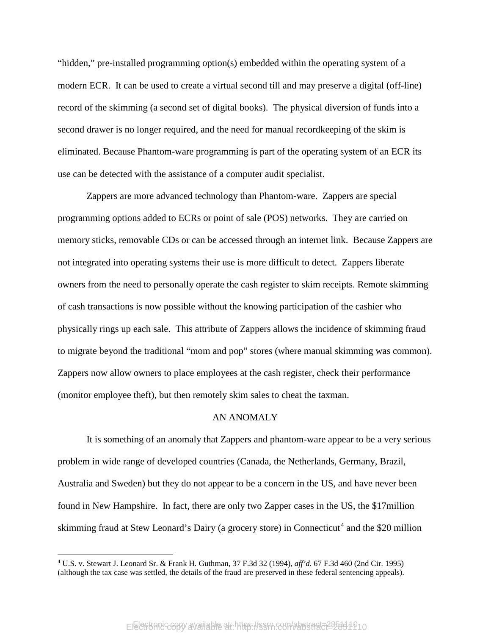"hidden," pre-installed programming option(s) embedded within the operating system of a modern ECR. It can be used to create a virtual second till and may preserve a digital (off-line) record of the skimming (a second set of digital books). The physical diversion of funds into a second drawer is no longer required, and the need for manual recordkeeping of the skim is eliminated. Because Phantom-ware programming is part of the operating system of an ECR its use can be detected with the assistance of a computer audit specialist.

Zappers are more advanced technology than Phantom-ware. Zappers are special programming options added to ECRs or point of sale (POS) networks. They are carried on memory sticks, removable CDs or can be accessed through an internet link. Because Zappers are not integrated into operating systems their use is more difficult to detect. Zappers liberate owners from the need to personally operate the cash register to skim receipts. Remote skimming of cash transactions is now possible without the knowing participation of the cashier who physically rings up each sale. This attribute of Zappers allows the incidence of skimming fraud to migrate beyond the traditional "mom and pop" stores (where manual skimming was common). Zappers now allow owners to place employees at the cash register, check their performance (monitor employee theft), but then remotely skim sales to cheat the taxman.

#### AN ANOMALY

It is something of an anomaly that Zappers and phantom-ware appear to be a very serious problem in wide range of developed countries (Canada, the Netherlands, Germany, Brazil, Australia and Sweden) but they do not appear to be a concern in the US, and have never been found in New Hampshire. In fact, there are only two Zapper cases in the US, the \$17million skimming fraud at Stew Leonard's Dairy (a grocery store) in Connecticut<sup>[4](#page-3-0)</sup> and the \$20 million

<span id="page-3-0"></span> <sup>4</sup> U.S. v. Stewart J. Leonard Sr. & Frank H. Guthman, 37 F.3d 32 (1994), *aff'd.* 67 F.3d 460 (2nd Cir. 1995) (although the tax case was settled, the details of the fraud are preserved in these federal sentencing appeals).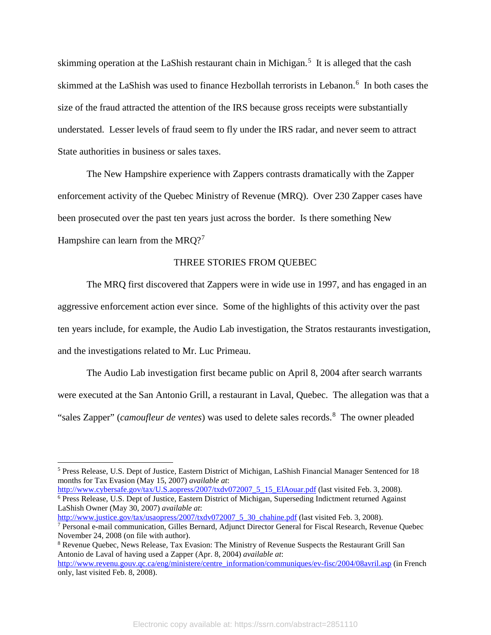skimming operation at the LaShish restaurant chain in Michigan.<sup>[5](#page-4-0)</sup> It is alleged that the cash skimmed at the LaShish was used to finance Hezbollah terrorists in Lebanon.<sup>[6](#page-4-1)</sup> In both cases the size of the fraud attracted the attention of the IRS because gross receipts were substantially understated. Lesser levels of fraud seem to fly under the IRS radar, and never seem to attract State authorities in business or sales taxes.

The New Hampshire experience with Zappers contrasts dramatically with the Zapper enforcement activity of the Quebec Ministry of Revenue (MRQ). Over 230 Zapper cases have been prosecuted over the past ten years just across the border. Is there something New Hampshire can learn from the MRQ?<sup>[7](#page-4-2)</sup>

#### THREE STORIES FROM QUEBEC

The MRQ first discovered that Zappers were in wide use in 1997, and has engaged in an aggressive enforcement action ever since. Some of the highlights of this activity over the past ten years include, for example, the Audio Lab investigation, the Stratos restaurants investigation, and the investigations related to Mr. Luc Primeau.

The Audio Lab investigation first became public on April 8, 2004 after search warrants were executed at the San Antonio Grill, a restaurant in Laval, Quebec. The allegation was that a "sales Zapper" (*camoufleur de ventes*) was used to delete sales records.[8](#page-4-3) The owner pleaded

<span id="page-4-1"></span>[http://www.cybersafe.gov/tax/U.S.aopress/2007/txdv072007\\_5\\_15\\_ElAouar.pdf](http://www.cybersafe.gov/tax/usaopress/2007/txdv072007_5_15_ElAouar.pdf) (last visited Feb. 3, 2008). <sup>6</sup> Press Release, U.S. Dept of Justice, Eastern District of Michigan, Superseding Indictment returned Against LaShish Owner (May 30, 2007) *available at*:

<span id="page-4-0"></span> <sup>5</sup> Press Release, U.S. Dept of Justice, Eastern District of Michigan, LaShish Financial Manager Sentenced for 18 months for Tax Evasion (May 15, 2007) *available at*:

<span id="page-4-2"></span>[http://www.justice.gov/tax/usaopress/2007/txdv072007\\_5\\_30\\_chahine.pdf](http://www.justice.gov/tax/usaopress/2007/txdv072007_5_30_chahine.pdf) (last visited Feb. 3, 2008). <sup>7</sup> Personal e-mail communication, Gilles Bernard, Adjunct Director General for Fiscal Research, Revenue Quebec November 24, 2008 (on file with author).

<span id="page-4-3"></span><sup>8</sup> Revenue Quebec, News Release, Tax Evasion: The Ministry of Revenue Suspects the Restaurant Grill San Antonio de Laval of having used a Zapper (Apr. 8, 2004) *available at*: [http://www.revenu.gouv.qc.ca/eng/ministere/centre\\_information/communiques/ev-fisc/2004/08avril.asp](http://www.revenu.gouv.qc.ca/eng/ministere/centre_information/communiques/ev-fisc/2004/08avril.asp) (in French

only, last visited Feb. 8, 2008).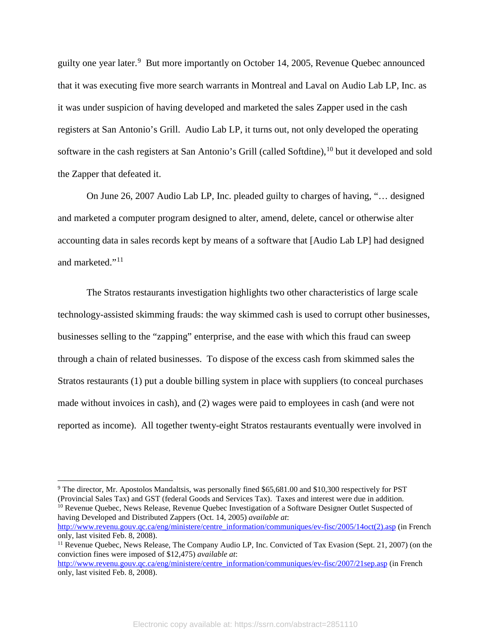guilty one year later.<sup>[9](#page-5-0)</sup> But more importantly on October 14, 2005, Revenue Quebec announced that it was executing five more search warrants in Montreal and Laval on Audio Lab LP, Inc. as it was under suspicion of having developed and marketed the sales Zapper used in the cash registers at San Antonio's Grill. Audio Lab LP, it turns out, not only developed the operating software in the cash registers at San Antonio's Grill (called Softdine),<sup>[10](#page-5-1)</sup> but it developed and sold the Zapper that defeated it.

On June 26, 2007 Audio Lab LP, Inc. pleaded guilty to charges of having, "… designed and marketed a computer program designed to alter, amend, delete, cancel or otherwise alter accounting data in sales records kept by means of a software that [Audio Lab LP] had designed and marketed."<sup>11</sup>

The Stratos restaurants investigation highlights two other characteristics of large scale technology-assisted skimming frauds: the way skimmed cash is used to corrupt other businesses, businesses selling to the "zapping" enterprise, and the ease with which this fraud can sweep through a chain of related businesses. To dispose of the excess cash from skimmed sales the Stratos restaurants (1) put a double billing system in place with suppliers (to conceal purchases made without invoices in cash), and (2) wages were paid to employees in cash (and were not reported as income). All together twenty-eight Stratos restaurants eventually were involved in

<span id="page-5-1"></span>[http://www.revenu.gouv.qc.ca/eng/ministere/centre\\_information/communiques/ev-fisc/2005/14oct\(2\).asp](http://www.revenu.gouv.qc.ca/eng/ministere/centre_information/communiques/ev-fisc/2005/14oct(2).asp) (in French only, last visited Feb. 8, 2008).

<span id="page-5-0"></span><sup>&</sup>lt;sup>9</sup> The director, Mr. Apostolos Mandaltsis, was personally fined \$65,681.00 and \$10,300 respectively for PST (Provincial Sales Tax) and GST (federal Goods and Services Tax). Taxes and interest were due in addition. <sup>10</sup> Revenue Quebec, News Release, Revenue Quebec Investigation of a Software Designer Qutlet Suspected of having Developed and Distributed Zappers (Oct. 14, 2005) *available at*:

<span id="page-5-2"></span><sup>&</sup>lt;sup>11</sup> Revenue Quebec, News Release, The Company Audio LP, Inc. Convicted of Tax Evasion (Sept. 21, 2007) (on the conviction fines were imposed of \$12,475) *available at*:

[http://www.revenu.gouv.qc.ca/eng/ministere/centre\\_information/communiques/ev-fisc/2007/21sep.asp](http://www.revenu.gouv.qc.ca/eng/ministere/centre_information/communiques/ev-fisc/2007/21sep.asp) (in French only, last visited Feb. 8, 2008).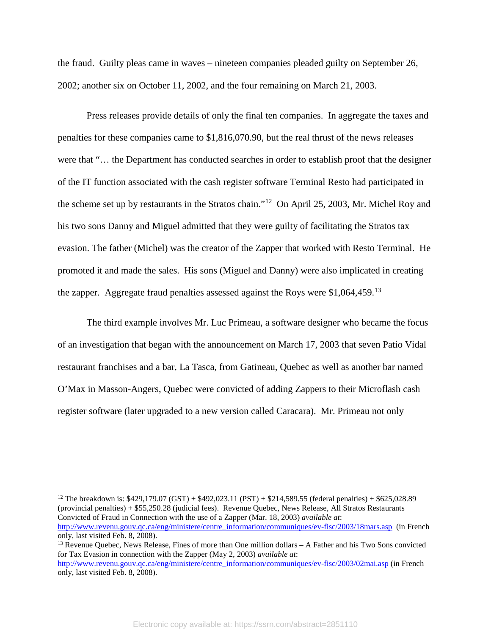the fraud. Guilty pleas came in waves – nineteen companies pleaded guilty on September 26, 2002; another six on October 11, 2002, and the four remaining on March 21, 2003.

Press releases provide details of only the final ten companies. In aggregate the taxes and penalties for these companies came to \$1,816,070.90, but the real thrust of the news releases were that "… the Department has conducted searches in order to establish proof that the designer of the IT function associated with the cash register software Terminal Resto had participated in the scheme set up by restaurants in the Stratos chain."[12](#page-6-0) On April 25, 2003, Mr. Michel Roy and his two sons Danny and Miguel admitted that they were guilty of facilitating the Stratos tax evasion. The father (Michel) was the creator of the Zapper that worked with Resto Terminal. He promoted it and made the sales. His sons (Miguel and Danny) were also implicated in creating the zapper. Aggregate fraud penalties assessed against the Roys were \$1,064,459.<sup>[13](#page-6-1)</sup>

The third example involves Mr. Luc Primeau, a software designer who became the focus of an investigation that began with the announcement on March 17, 2003 that seven Patio Vidal restaurant franchises and a bar, La Tasca, from Gatineau, Quebec as well as another bar named O'Max in Masson-Angers, Quebec were convicted of adding Zappers to their Microflash cash register software (later upgraded to a new version called Caracara). Mr. Primeau not only

<span id="page-6-0"></span><sup>12</sup> The breakdown is: \$429,179.07 (GST) + \$492,023.11 (PST) + \$214,589.55 (federal penalties) + \$625,028.89 (provincial penalties) + \$55,250.28 (judicial fees). Revenue Quebec, News Release, All Stratos Restaurants Convicted of Fraud in Connection with the use of a Zapper (Mar. 18, 2003) *available at*: [http://www.revenu.gouv.qc.ca/eng/ministere/centre\\_information/communiques/ev-fisc/2003/18mars.asp](http://www.revenu.gouv.qc.ca/eng/ministere/centre_information/communiques/ev-fisc/2003/18mars.asp) (in French only, last visited Feb. 8, 2008). <sup>13</sup> Revenue Quebec, News Release, Fines of more than One million dollars – A Father and his Two Sons convicted

<span id="page-6-1"></span>for Tax Evasion in connection with the Zapper (May 2, 2003) *available at*: [http://www.revenu.gouv.qc.ca/eng/ministere/centre\\_information/communiques/ev-fisc/2003/02mai.asp](http://www.revenu.gouv.qc.ca/eng/ministere/centre_information/communiques/ev-fisc/2003/02mai.asp) (in French only, last visited Feb. 8, 2008).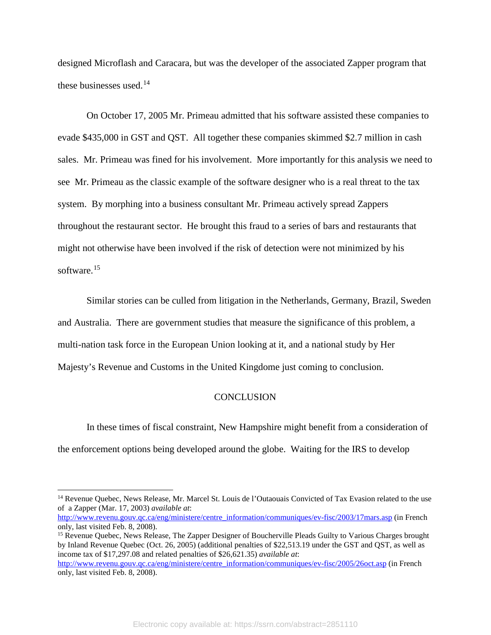designed Microflash and Caracara, but was the developer of the associated Zapper program that these businesses used. [14](#page-7-0)

On October 17, 2005 Mr. Primeau admitted that his software assisted these companies to evade \$435,000 in GST and QST. All together these companies skimmed \$2.7 million in cash sales. Mr. Primeau was fined for his involvement. More importantly for this analysis we need to see Mr. Primeau as the classic example of the software designer who is a real threat to the tax system. By morphing into a business consultant Mr. Primeau actively spread Zappers throughout the restaurant sector. He brought this fraud to a series of bars and restaurants that might not otherwise have been involved if the risk of detection were not minimized by his software. [15](#page-7-1)

Similar stories can be culled from litigation in the Netherlands, Germany, Brazil, Sweden and Australia. There are government studies that measure the significance of this problem, a multi-nation task force in the European Union looking at it, and a national study by Her Majesty's Revenue and Customs in the United Kingdome just coming to conclusion.

#### **CONCLUSION**

In these times of fiscal constraint, New Hampshire might benefit from a consideration of the enforcement options being developed around the globe. Waiting for the IRS to develop

<span id="page-7-0"></span><sup>&</sup>lt;sup>14</sup> Revenue Quebec, News Release, Mr. Marcel St. Louis de l'Outaouais Convicted of Tax Evasion related to the use of a Zapper (Mar. 17, 2003) *available at*:

[http://www.revenu.gouv.qc.ca/eng/ministere/centre\\_information/communiques/ev-fisc/2003/17mars.asp](http://www.revenu.gouv.qc.ca/eng/ministere/centre_information/communiques/ev-fisc/2003/17mars.asp) (in French only, last visited Feb. 8, 2008).

<span id="page-7-1"></span><sup>&</sup>lt;sup>15</sup> Revenue Quebec, News Release, The Zapper Designer of Boucherville Pleads Guilty to Various Charges brought by Inland Revenue Quebec (Oct. 26, 2005) (additional penalties of \$22,513.19 under the GST and QST, as well as income tax of \$17,297.08 and related penalties of \$26,621.35) *available at*:

[http://www.revenu.gouv.qc.ca/eng/ministere/centre\\_information/communiques/ev-fisc/2005/26oct.asp](http://www.revenu.gouv.qc.ca/eng/ministere/centre_information/communiques/ev-fisc/2005/26oct.asp) (in French only, last visited Feb. 8, 2008).